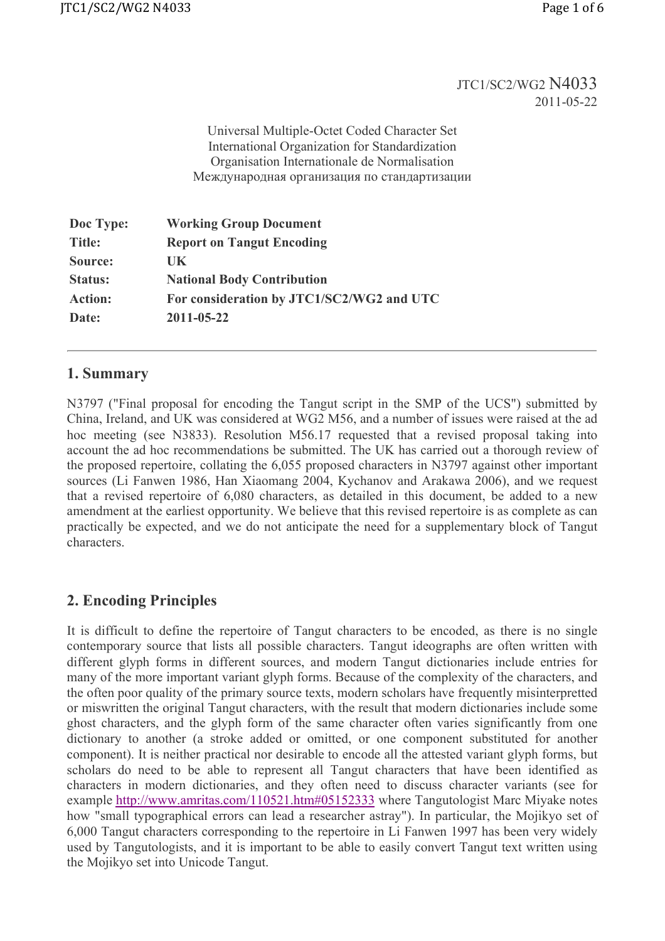### JTC1/SC2/WG2 N4033 2011-05-22

Universal Multiple-Octet Coded Character Set International Organization for Standardization Organisation Internationale de Normalisation Международная организация по стандартизации

| Doc Type:      | <b>Working Group Document</b>             |
|----------------|-------------------------------------------|
| <b>Title:</b>  | <b>Report on Tangut Encoding</b>          |
| Source:        | UK                                        |
| <b>Status:</b> | <b>National Body Contribution</b>         |
| <b>Action:</b> | For consideration by JTC1/SC2/WG2 and UTC |
| Date:          | 2011-05-22                                |

# 1. Summary

N3797 ("Final proposal for encoding the Tangut script in the SMP of the UCS") submitted by China, Ireland, and UK was considered at WG2 M56, and a number of issues were raised at the ad hoc meeting (see N3833). Resolution M56.17 requested that a revised proposal taking into account the ad hoc recommendations be submitted. The UK has carried out a thorough review of the proposed repertoire, collating the 6,055 proposed characters in N3797 against other important sources (Li Fanwen 1986, Han Xiaomang 2004, Kychanov and Arakawa 2006), and we request that a revised repertoire of 6,080 characters, as detailed in this document, be added to a new amendment at the earliest opportunity. We believe that this revised repertoire is as complete as can practically be expected, and we do not anticipate the need for a supplementary block of Tangut characters.

# 2. Encoding Principles

It is difficult to define the repertoire of Tangut characters to be encoded, as there is no single contemporary source that lists all possible characters. Tangut ideographs are often written with different glyph forms in different sources, and modern Tangut dictionaries include entries for many of the more important variant glyph forms. Because of the complexity of the characters, and the often poor quality of the primary source texts, modern scholars have frequently misinterpretted or miswritten the original Tangut characters, with the result that modern dictionaries include some ghost characters, and the glyph form of the same character often varies significantly from one dictionary to another (a stroke added or omitted, or one component substituted for another component). It is neither practical nor desirable to encode all the attested variant glyph forms, but scholars do need to be able to represent all Tangut characters that have been identified as characters in modern dictionaries, and they often need to discuss character variants (see for example http://www.amritas.com/110521.htm#05152333 where Tangutologist Marc Miyake notes how "small typographical errors can lead a researcher astray"). In particular, the Mojikyo set of 6,000 Tangut characters corresponding to the repertoire in Li Fanwen 1997 has been very widely used by Tangutologists, and it is important to be able to easily convert Tangut text written using the Mojikyo set into Unicode Tangut.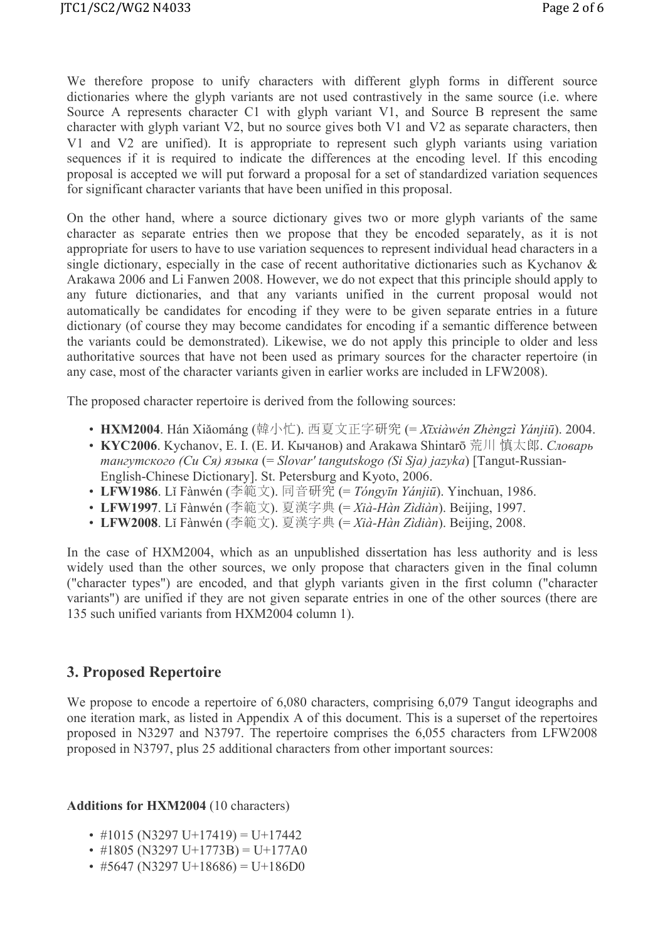We therefore propose to unify characters with different glyph forms in different source dictionaries where the glyph variants are not used contrastively in the same source (i.e. where Source A represents character C1 with glyph variant V1, and Source B represent the same character with glyph variant V2, but no source gives both V1 and V2 as separate characters, then V1 and V2 are unified). It is appropriate to represent such glyph variants using variation sequences if it is required to indicate the differences at the encoding level. If this encoding proposal is accepted we will put forward a proposal for a set of standardized variation sequences for significant character variants that have been unified in this proposal.

On the other hand, where a source dictionary gives two or more glyph variants of the same character as separate entries then we propose that they be encoded separately, as it is not appropriate for users to have to use variation sequences to represent individual head characters in a single dictionary, especially in the case of recent authoritative dictionaries such as Kychanov & Arakawa 2006 and Li Fanwen 2008. However, we do not expect that this principle should apply to any future dictionaries, and that any variants unified in the current proposal would not automatically be candidates for encoding if they were to be given separate entries in a future dictionary (of course they may become candidates for encoding if a semantic difference between the variants could be demonstrated). Likewise, we do not apply this principle to older and less authoritative sources that have not been used as primary sources for the character repertoire (in any case, most of the character variants given in earlier works are included in LFW2008).

The proposed character repertoire is derived from the following sources:

- HXM2004. Hán Xiǎománg (韓小忙). 西夏文正字研究 (= Xīxiàwén Zhèngzì Yánjiū). 2004.
- KYC2006. Kychanov, Е. I. (Е. И. Кычанов) and Arakawa Shintarō 荒川 慎太郎. Словарь тангутского (Си Ся) языка (= Slovarʹ tangutskogo (Si Sja) jazyka) [Tangut-Russian-English-Chinese Dictionary]. St. Petersburg and Kyoto, 2006.
- LFW1986. Lǐ Fànwén (李範文). 同音研究 (= Tóngyīn Yánjiū). Yinchuan, 1986.
- LFW1997. Lǐ Fànwén (李範文). 夏漢字典 (= Xià-Hàn Zìdiàn). Beijing, 1997.
- LFW2008. Lǐ Fànwén (李範文). 夏漢字典 (= Xià-Hàn Zìdiàn). Beijing, 2008.

In the case of HXM2004, which as an unpublished dissertation has less authority and is less widely used than the other sources, we only propose that characters given in the final column ("character types") are encoded, and that glyph variants given in the first column ("character variants") are unified if they are not given separate entries in one of the other sources (there are 135 such unified variants from HXM2004 column 1).

### 3. Proposed Repertoire

We propose to encode a repertoire of 6,080 characters, comprising 6,079 Tangut ideographs and one iteration mark, as listed in Appendix A of this document. This is a superset of the repertoires proposed in N3297 and N3797. The repertoire comprises the 6,055 characters from LFW2008 proposed in N3797, plus 25 additional characters from other important sources:

#### Additions for HXM2004 (10 characters)

- $\cdot$  #1015 (N3297 U+17419) = U+17442
- $\cdot$  #1805 (N3297 U+1773B) = U+177A0
- $\cdot$  #5647 (N3297 U+18686) = U+186D0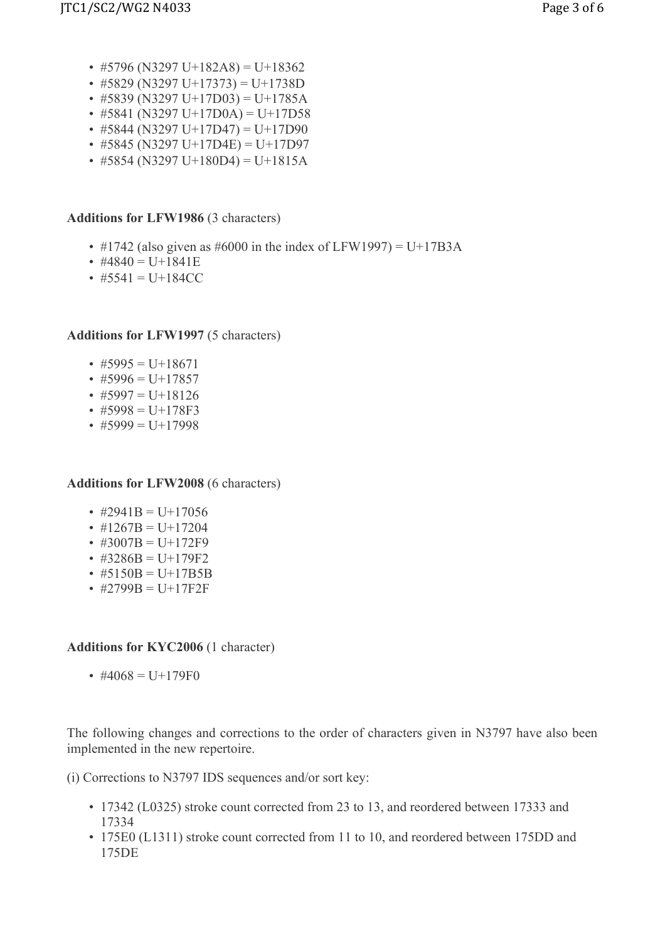- $\cdot$  #5796 (N3297 U+182A8) = U+18362
- $\cdot$  #5829 (N3297 U+17373) = U+1738D
- $\cdot$  #5839 (N3297 U+17D03) = U+1785A
- #5841 (N3297 U+17D0A) = U+17D58
- $\cdot$  #5844 (N3297 U+17D47) = U+17D90
- $\cdot$  #5845 (N3297 U+17D4E) = U+17D97
- #5854 (N3297 U+180D4) = U+1815A

### Additions for LFW1986 (3 characters)

- #1742 (also given as #6000 in the index of LFW1997) = U+17B3A
- #4840 =  $U+1841E$
- $\#5541 = U+184CC$

Additions for LFW1997 (5 characters)

- $\cdot$  #5995 = U+18671
- $\cdot$  #5996 = U+17857
- #5997 = U+18126
- $\#5998 = U+178F3$
- $\cdot$  #5999 = U+17998

Additions for LFW2008 (6 characters)

- #2941B = U+17056
- $\#1267B = U+17204$
- $\#3007B = U+172F9$
- $\#3286B = U+179F2$
- $\#5150B = U+17B5B$
- $\#2799B = U+17F2F$

#### Additions for KYC2006 (1 character)

• #4068 =  $U+179F0$ 

The following changes and corrections to the order of characters given in N3797 have also been implemented in the new repertoire.

(i) Corrections to N3797 IDS sequences and/or sort key:

- 17342 (L0325) stroke count corrected from 23 to 13, and reordered between 17333 and 17334
- 175E0 (L1311) stroke count corrected from 11 to 10, and reordered between 175DD and 175DE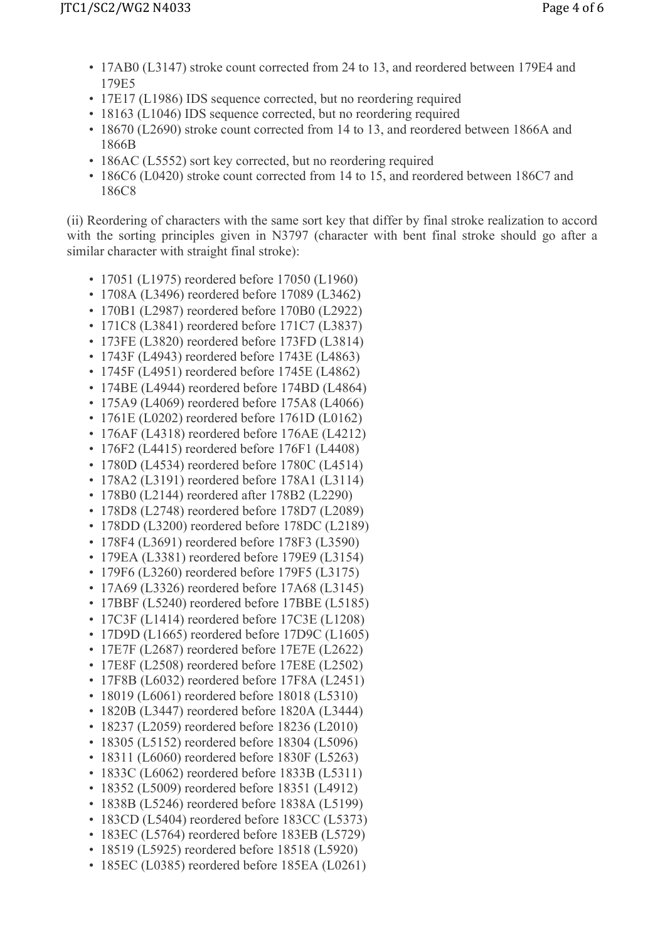- 17AB0 (L3147) stroke count corrected from 24 to 13, and reordered between 179E4 and 179E5
- 17E17 (L1986) IDS sequence corrected, but no reordering required
- 18163 (L1046) IDS sequence corrected, but no reordering required
- 18670 (L2690) stroke count corrected from 14 to 13, and reordered between 1866A and 1866B
- 186AC (L5552) sort key corrected, but no reordering required
- 186C6 (L0420) stroke count corrected from 14 to 15, and reordered between 186C7 and 186C8

(ii) Reordering of characters with the same sort key that differ by final stroke realization to accord with the sorting principles given in N3797 (character with bent final stroke should go after a similar character with straight final stroke):

- 17051 (L1975) reordered before 17050 (L1960)
- 1708A (L3496) reordered before 17089 (L3462)
- 170B1 (L2987) reordered before 170B0 (L2922)
- 171C8 (L3841) reordered before 171C7 (L3837)
- 173FE (L3820) reordered before 173FD (L3814)
- 1743F (L4943) reordered before 1743E (L4863)
- 1745F (L4951) reordered before 1745E (L4862)
- 174BE (L4944) reordered before 174BD (L4864)
- 175A9 (L4069) reordered before 175A8 (L4066)
- 1761E (L0202) reordered before 1761D (L0162)
- 176AF (L4318) reordered before 176AE (L4212)
- 176F2 (L4415) reordered before 176F1 (L4408)
- 1780D (L4534) reordered before 1780C (L4514)
- 178A2 (L3191) reordered before 178A1 (L3114)
- 178B0 (L2144) reordered after 178B2 (L2290)
- 178D8 (L2748) reordered before 178D7 (L2089)
- 178DD (L3200) reordered before 178DC (L2189)
- 178F4 (L3691) reordered before 178F3 (L3590)
- 179EA (L3381) reordered before 179E9 (L3154)
- 179F6 (L3260) reordered before 179F5 (L3175)
- 17A69 (L3326) reordered before 17A68 (L3145)
- 17BBF (L5240) reordered before 17BBE (L5185)
- 17C3F (L1414) reordered before 17C3E (L1208)
- 17D9D (L1665) reordered before 17D9C (L1605)
- 17E7F (L2687) reordered before 17E7E (L2622)
- 17E8F (L2508) reordered before 17E8E (L2502)
- 17F8B (L6032) reordered before 17F8A (L2451)
- 18019 (L6061) reordered before 18018 (L5310)
- 1820B (L3447) reordered before 1820A (L3444)
- 18237 (L2059) reordered before 18236 (L2010)
- 18305 (L5152) reordered before 18304 (L5096)
- 18311 (L6060) reordered before 1830F (L5263)
- 1833C (L6062) reordered before 1833B (L5311)
- 18352 (L5009) reordered before 18351 (L4912)
- 1838B (L5246) reordered before 1838A (L5199)
- 183CD (L5404) reordered before 183CC (L5373)
- 183EC (L5764) reordered before 183EB (L5729)
- 18519 (L5925) reordered before 18518 (L5920)
- 185EC (L0385) reordered before 185EA (L0261)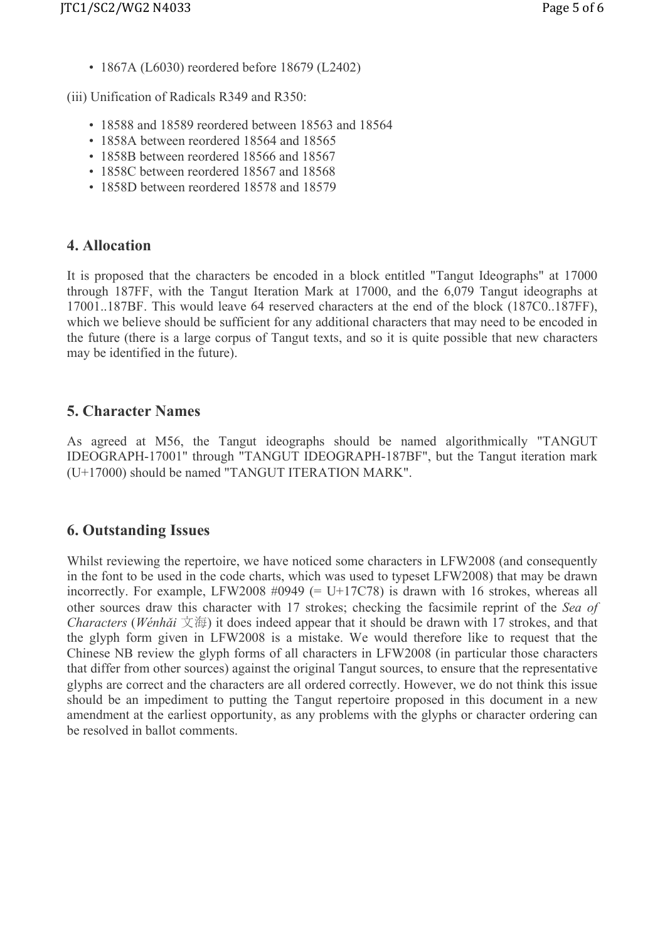• 1867A (L6030) reordered before 18679 (L2402)

(iii) Unification of Radicals R349 and R350:

- 18588 and 18589 reordered between 18563 and 18564
- 1858A between reordered 18564 and 18565
- 1858B between reordered 18566 and 18567
- 1858C between reordered 18567 and 18568
- 1858D between reordered 18578 and 18579

# 4. Allocation

It is proposed that the characters be encoded in a block entitled "Tangut Ideographs" at 17000 through 187FF, with the Tangut Iteration Mark at 17000, and the 6,079 Tangut ideographs at 17001..187BF. This would leave 64 reserved characters at the end of the block (187C0..187FF), which we believe should be sufficient for any additional characters that may need to be encoded in the future (there is a large corpus of Tangut texts, and so it is quite possible that new characters may be identified in the future).

# 5. Character Names

As agreed at M56, the Tangut ideographs should be named algorithmically "TANGUT IDEOGRAPH-17001" through "TANGUT IDEOGRAPH-187BF", but the Tangut iteration mark (U+17000) should be named "TANGUT ITERATION MARK".

# 6. Outstanding Issues

Whilst reviewing the repertoire, we have noticed some characters in LFW2008 (and consequently in the font to be used in the code charts, which was used to typeset LFW2008) that may be drawn incorrectly. For example, LFW2008  $\#0949$  (= U+17C78) is drawn with 16 strokes, whereas all other sources draw this character with 17 strokes; checking the facsimile reprint of the Sea of Characters (Wénhǎi  $\overline{\chi}$   $\overline{\mathfrak{g}}$ ) it does indeed appear that it should be drawn with 17 strokes, and that the glyph form given in LFW2008 is a mistake. We would therefore like to request that the Chinese NB review the glyph forms of all characters in LFW2008 (in particular those characters that differ from other sources) against the original Tangut sources, to ensure that the representative glyphs are correct and the characters are all ordered correctly. However, we do not think this issue should be an impediment to putting the Tangut repertoire proposed in this document in a new amendment at the earliest opportunity, as any problems with the glyphs or character ordering can be resolved in ballot comments.